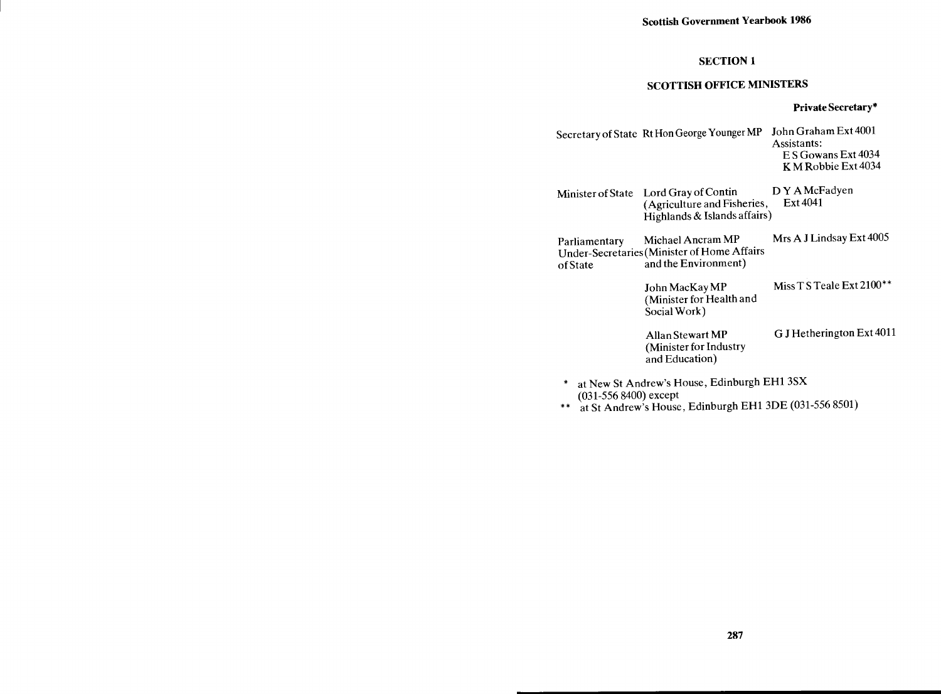# SECTION 1

# SCOTTISH OFFICE MINISTERS

### Private Secretary\*

- Secretary of State Rt Hon George Younger MP John Graham Ext 4001 Assistants: E S Gowans Ext 4034 K M Robbie Ext 4034
- Minister of State Lord Gray of Contin DY A McFadyen<br>(Agriculture and Fisheries, Ext 4041)  $(A$ griculture and Fisheries, Highlands & Islands affairs)
- Parliamentary Michael Ancram MP Mrs A J Lindsay Ext 4005 Under -Secretaries (Minister of Home Affairs of State and the Environment)

John MacKay MP Miss T S Teale Ext 2100\*\* (Minister for Health and Social Work)

Allan Stewart MP G J Hetherington Ext 4011 (Minister for Industry and Education)

- \* at New St Andrew's House, Edinburgh EH1 3SX (031-556 8400) except
- \*\* at St Andrew's House, Edinburgh EH1 3DE (031-556 8501)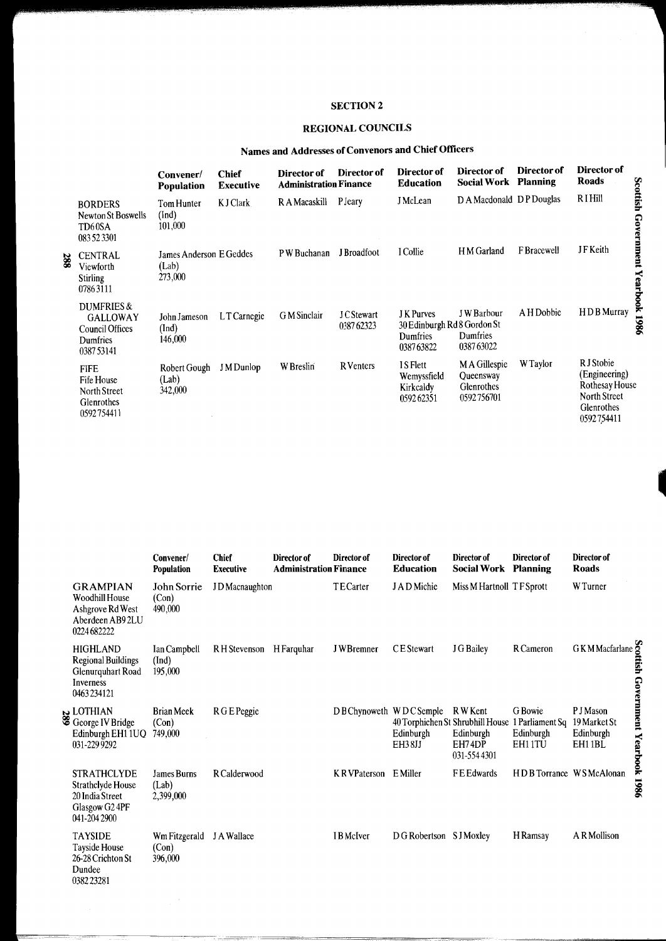# **SECTION 2**

# REGIONAL COUNCILS

# Names and Addresses of Convenors and Chief Officers

|                                                                            | Convener/<br><b>Population</b>              | <b>Chief</b><br><b>Executive</b> | Director of<br><b>Administration Finance</b> | Director of                   | Director of<br><b>Education</b>                                                 | Director of<br><b>Social Work</b>                      | Director of<br><b>Planning</b> | Director of<br>Roads                                                                                    |
|----------------------------------------------------------------------------|---------------------------------------------|----------------------------------|----------------------------------------------|-------------------------------|---------------------------------------------------------------------------------|--------------------------------------------------------|--------------------------------|---------------------------------------------------------------------------------------------------------|
| <b>BORDERS</b><br>Newton St Boswells<br>TD <sub>60</sub> SA<br>083 52 3301 | Tom Hunter<br>(Ind)<br>101,000              | K J Clark                        | R A Macaskill                                | <b>P</b> Jeary                | <b>J</b> McLean                                                                 | D A Macdonald D P Douglas                              |                                | Scottish<br><b>RIHill</b><br>Government                                                                 |
| <b>CENTRAL</b><br>Viewforth<br><b>Stirling</b><br>07863111                 | James Anderson E Geddes<br>(Lab)<br>273,000 |                                  | P W Buchanan                                 | J Broadfoot                   | I Collie                                                                        | H M Garland                                            | <b>F</b> Bracewell             | <b>JFKeith</b><br>Yearbook                                                                              |
| DUMFRIES &<br>GALLOWAY<br>Council Offices<br>Dumfries<br>0387 53141        | John Jameson<br>(Ind)<br>146,000            | LT Carnegie                      | G M Sinclair                                 | <b>JCStewart</b><br>038762323 | <b>JK</b> Purves<br>30 Edinburgh Rd 8 Gordon St<br><b>Dumfries</b><br>038763822 | <b>JW</b> Barbour<br>Dumfries<br>038763022             | A H Dobbie                     | HDB Murray<br>1986                                                                                      |
| <b>FIFE</b><br>Fife House<br>North Street<br>Glenrothes<br>0592754411      | Robert Gough<br>(Lab)<br>342,000            | J M Dunlop                       | W Breslin                                    | <b>R</b> Venters              | I S Flett<br>Wemyssfield<br>Kirkcaldy<br>059262351                              | M A Gillespie<br>Queensway<br>Glenrothes<br>0592756701 | W Taylor                       | R J Stobie<br>(Engineering)<br>Rothesay House<br><b>North Street</b><br><b>Glenrothes</b><br>0592754411 |

|                                                                                                | Convener/<br><b>Population</b>           | <b>Chief</b><br><b>Executive</b> | Director of<br><b>Administration Finance</b> | Director of             | Director of<br><b>Education</b>                         | Director of<br><b>Social Work</b>              | Director of<br><b>Planning</b>                    | Director of<br><b>Roads</b>                                                              |
|------------------------------------------------------------------------------------------------|------------------------------------------|----------------------------------|----------------------------------------------|-------------------------|---------------------------------------------------------|------------------------------------------------|---------------------------------------------------|------------------------------------------------------------------------------------------|
| <b>GRAMPIAN</b><br><b>Woodhill House</b><br>Ashgrove Rd West<br>Aberdeen AB92LU<br>0224 682222 | John Sorrie<br>(Con)<br>490,000          | JD Macnaughton                   |                                              | TE Carter               | J A D Michie                                            | Miss M Hartnoll TF Sprott                      |                                                   | W Turner                                                                                 |
| HIGHLAND<br>Regional Buildings<br>Glenurquhart Road<br>Inverness<br>0463234121                 | Ian Campbell<br>(Ind)<br>195,000         | R H Stevenson                    | H Farquhar                                   | J W Bremner             | CE Stewart                                              | J G Bailey                                     | R Cameron                                         | GKM Macfarlane S                                                                         |
| LOTHIAN يا<br>Ceorge IV Bridge<br>Edinburgh EH1 1UQ<br>031-229 9292                            | Brian Meek<br>(Con)<br>749,000           | R G E Peggie                     |                                              | DB Chynoweth WDC Semple | 40 Torphichen St Shrubhill House<br>Edinburgh<br>EH38JJ | R W Kent<br>Edinburgh<br>EH74DP<br>031-5544301 | G Bowie<br>1 Parliament Sq<br>Edinburgh<br>EH11TU | ttish Government Yearbook 1986<br><b>PJ</b> Mason<br>19 Market St<br>Edinburgh<br>EH11BL |
| <b>STRATHCLYDE</b><br>Strathclyde House<br>20 India Street<br>Glasgow G2 4PF<br>041-204 2900   | <b>James Burns</b><br>(Lab)<br>2,399,000 | R Calderwood                     |                                              | <b>KR</b> VPaterson     | E Miller                                                | FE Edwards                                     | HDB Torrance WSMcAlonan                           |                                                                                          |
| <b>TAYSIDE</b><br>Tayside House<br>26-28 Crichton St<br>Dundee<br>038223281                    | Wm Fitzgerald<br>(Con)<br>396,000        | J A Wallace                      |                                              | <b>IB</b> McIver        | DG Robertson SJ Moxley                                  |                                                | H Ramsay                                          | A R Mollison                                                                             |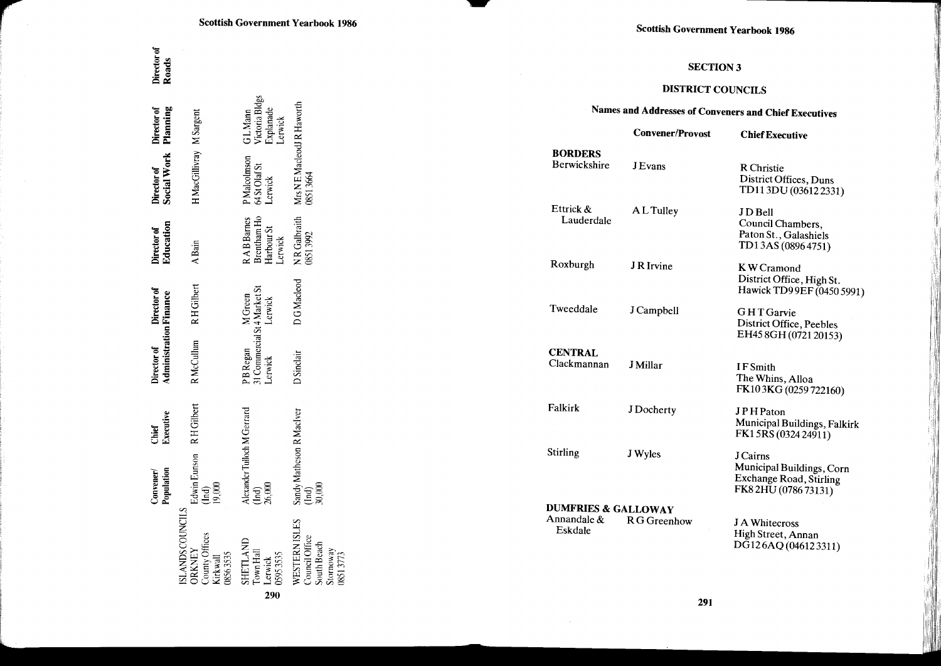| <b>Scottish Government Yearbook 1986</b> |  |  |  |
|------------------------------------------|--|--|--|
|------------------------------------------|--|--|--|

# **SECTION 3**

# **DISTRICT COUNCILS**

# Names and Addresses of Conveners and Chief Executives

|                                | <b>Convener/Provost</b> | <b>Chief Executive</b>                                                                         |
|--------------------------------|-------------------------|------------------------------------------------------------------------------------------------|
| <b>BORDERS</b><br>Berwickshire | <b>J</b> Evans          | R Christie<br>District Offices, Duns<br>TD113DU (036122331)                                    |
| Ettrick &<br>Lauderdale        | A L Tulley              | JD Bell<br>Council Chambers,<br>Paton St., Galashiels<br>TD13AS (08964751)                     |
| Roxburgh                       | J R Irvine              | K W Cramond<br>District Office, High St.<br>Hawick TD99EF (0450 5991)                          |
| Tweeddale                      | J Campbell              | <b>GHT</b> Garvie<br>District Office, Peebles<br>EH45 8GH (0721 20153)                         |
| <b>CENTRAL</b><br>Clackmannan  | J Millar                | <b>IFSmith</b><br>The Whins, Alloa<br>FK103KG (0259722160)                                     |
| Falkirk                        | J Docherty              | <b>JPHPaton</b><br>Municipal Buildings, Falkirk<br>FK15RS (0324 24911)                         |
| Stirling                       | J Wyles                 | <b>J</b> Cairns<br>Municipal Buildings, Corn<br>Exchange Road, Stirling<br>FK82HU (0786 73131) |
| <b>DUMFRIES &amp; GALLOWAY</b> |                         |                                                                                                |
| Annandale &<br>Eskdale         | R G Greenhow            | J A Whitecross<br>High Street, Annan<br>DG126AQ (046123311)                                    |

|     |                                                                                            | Convener/<br>Population                                                                        | Executive<br>Chief | <b>Administration Finance</b>                                       | Director of Director of | Director of<br>Education                             | Director of J<br>Social Work J               | Director of<br>Planning                            | Director of<br>Roads |
|-----|--------------------------------------------------------------------------------------------|------------------------------------------------------------------------------------------------|--------------------|---------------------------------------------------------------------|-------------------------|------------------------------------------------------|----------------------------------------------|----------------------------------------------------|----------------------|
|     | <b>ISLANDS COUNCILS</b><br>County Offices<br><b>DRKNEY</b><br>856355<br>Cirkwall           | Edwin Eunson R H Gilbert<br>$\begin{array}{c}\n19,000 \\ 0.000\n\end{array}$                   |                    | <b>RMcCullum</b>                                                    | RH Gilbert              | A Bain                                               | H MacGillivray M Sargent                     |                                                    |                      |
| 290 | SHETLAND<br>TownHall<br>Lerwick<br>0595 3535                                               | Alexander Tulloch M Gerrard<br>$\begin{smallmatrix} 1 & 0 \\ 2 & 0 \\ 0 & 0 \end{smallmatrix}$ |                    | PB Regan M Green<br>31 Commercial St 4 Market St<br>Lerwick Lerwick |                         | R A B Barnes<br>Brentham Ho<br>Harbour St<br>Lerwick | P Malcolmson (<br>64 St Olaf St<br>Lerwick I | G L Mann<br>Victoria Bldgs<br>Explanade<br>Lerwick |                      |
|     | <b>WESTERNISLES</b><br><b>Jouncil Office</b><br><b>jouth Beach</b><br>Stornoway<br>8513773 | Sandy Matheson R MacIver<br>(Ind)<br>30,000                                                    |                    | <b>D</b> Sinclair                                                   | DG Macleod              | NR Galbraith<br><b>J8513992</b>                      | Mrs N E MacleodJ R Haworth<br>08513664       |                                                    |                      |

291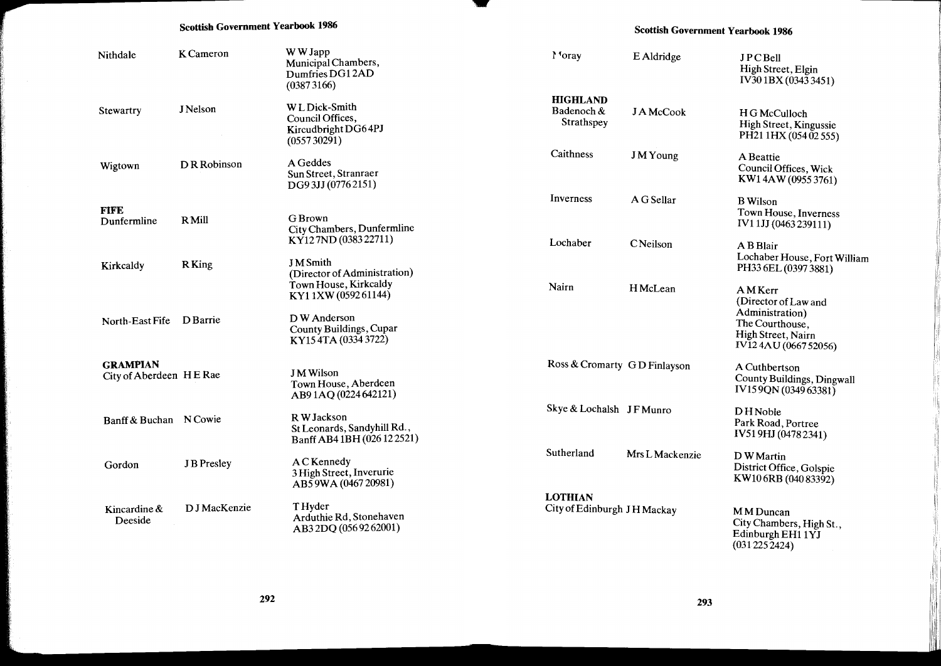### Scottish Government Yearbook 1986

### Scottish Government Yearbook 1986

| Nithdale                                   | K Cameron         | W W Japp<br>Municipal Chambers,<br>Dumfries DG12AD<br>(03873166)            | Moray                                         | E Aldridge      | <b>JPCBell</b><br>High Street, Elgin<br>IV30 1BX (0343 3451)                        |
|--------------------------------------------|-------------------|-----------------------------------------------------------------------------|-----------------------------------------------|-----------------|-------------------------------------------------------------------------------------|
| Stewartry                                  | J Nelson          | W L Dick-Smith<br>Council Offices,<br>Kircudbright DG64PJ<br>(055730291)    | <b>HIGHLAND</b><br>Badenoch &<br>Strathspey   | J A McCook      | H G McCulloch<br>High Street, Kingussie<br>PH21 1HX (054 02 555)                    |
| Wigtown                                    | D R Robinson      | A Geddes<br>Sun Street, Stranraer<br>DG93JJ (07762151)                      | Caithness                                     | <b>JMYoung</b>  | A Beattie<br>Council Offices, Wick<br>KW14AW (0955 3761)                            |
| <b>FIFE</b><br>Dunfermline                 | <b>R</b> Mill     | G Brown                                                                     | Inverness                                     | A G Sellar      | <b>B</b> Wilson<br>Town House, Inverness<br>IV11JJ (0463239111)                     |
|                                            |                   | City Chambers, Dunfermline<br>KY127ND (0383 22711)<br><b>J</b> M Smith      | Lochaber                                      | CNeilson        | A B Blair<br>Lochaber House, Fort William                                           |
| Kirkcaldy                                  | R King            | (Director of Administration)<br>Town House, Kirkcaldy<br>KY11XW (059261144) | Nairn                                         | <b>HMcLean</b>  | PH33 6EL (0397 3881)<br><b>AMKerr</b><br>(Director of Law and                       |
| North-East Fife                            | D Barrie          | D W Anderson<br>County Buildings, Cupar<br>KY154TA (03343722)               |                                               |                 | Administration)<br>The Courthouse.<br>High Street, Nairn<br>IV12 4AU (0667 52056)   |
| <b>GRAMPIAN</b><br>City of Aberdeen HE Rae |                   | <b>JM</b> Wilson<br>Town House, Aberdeen<br>AB91AQ (0224 642121)            | Ross & Cromarty GD Finlayson                  |                 | A Cuthbertson<br>County Buildings, Dingwall<br>IV159QN (034963381)                  |
| Banff & Buchan N Cowie                     |                   | R W Jackson<br>St Leonards, Sandyhill Rd.,<br>Banff AB4 1BH (026 12 2521)   | Skye & Lochalsh JF Munro                      |                 | <b>DH</b> Noble<br>Park Road, Portree<br>IV519HJ (04782341)                         |
| Gordon                                     | <b>JB</b> Presley | A C Kennedy<br>3 High Street, Inverurie<br>AB59WA (0467 20981)              | Sutherland                                    | Mrs L Mackenzie | D W Martin<br>District Office, Golspie<br>KW106RB (040 83392)                       |
| Kincardine &<br>Deeside                    | D J MacKenzie     | T Hyder<br>Arduthie Rd, Stonehaven<br>AB32DQ (0569262001)                   | <b>LOTHIAN</b><br>City of Edinburgh JH Mackay |                 | M M Duncan<br>City Chambers, High St.,<br>Edinburgh EH1 1YJ<br>$(031225\bar{2}424)$ |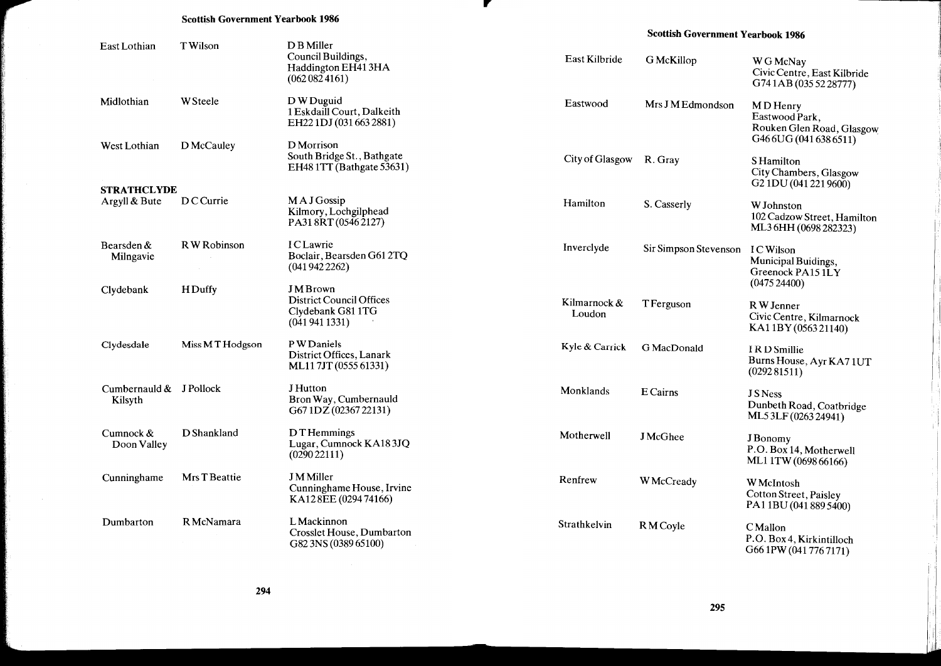#### **Scottish Government Yearbook 1986**

| Scottish Government Yearbook 1986 |  |
|-----------------------------------|--|
|-----------------------------------|--|

| East Lothian                        | T Wilson        | D B Miller<br>Council Buildings,<br>Haddington EH413HA<br>(0620824161)                 | East Kilbride           | <b>G</b> McKillop     | W G McNay<br>Civic Centre, East Kilbride<br>G741AB (035 52 28777)                 |
|-------------------------------------|-----------------|----------------------------------------------------------------------------------------|-------------------------|-----------------------|-----------------------------------------------------------------------------------|
| Midlothian                          | <b>W</b> Steele | D W Duguid<br>1 Eskdaill Court, Dalkeith<br>EH221DJ (031 663 2881)                     | Eastwood                | Mrs J M Edmondson     | MD Henry<br>Eastwood Park,<br>Rouken Glen Road, Glasgow<br>G46 6UG (041 638 6511) |
| West Lothian                        | D McCauley      | D Morrison<br>South Bridge St., Bathgate<br>EH48 1TT (Bathgate 53631)                  | City of Glasgow R. Gray |                       | <b>SHamilton</b><br>City Chambers, Glasgow<br>G <sub>2</sub> 1DU (041 221 9600)   |
| <b>STRATHCLYDE</b><br>Argyll & Bute | <b>DCCurrie</b> | MAJGossip<br>Kilmory, Lochgilphead<br>PA318RT (05462127)                               | Hamilton                | S. Casserly           | W Johnston<br>102 Cadzow Street, Hamilton<br>ML3 6HH (0698 282323)                |
| Bearsden $&$<br>Milngavie           | R W Robinson    | <b>ICLawrie</b><br>Boclair, Bearsden G61 2TQ<br>(0419422262)                           | Inverclyde              | Sir Simpson Stevenson | I C Wilson<br>Municipal Buidings,<br>Greenock PA151LY<br>(047524400)              |
| Clydebank                           | <b>HDuffy</b>   | <b>JMBrown</b><br><b>District Council Offices</b><br>Clydebank G81 1TG<br>(0419411331) | Kilmarnock &<br>Loudon  | <b>T</b> Ferguson     | R W Jenner<br>Civic Centre, Kilmarnock<br>KA11BY (056321140)                      |
| Clydesdale                          | Miss MT Hodgson | P W Daniels<br>District Offices, Lanark<br>ML117JT (0555 61331)                        | Kyle & Carrick          | G MacDonald           | IRD Smillie<br>Burns House, Ayr KA71UT<br>(029281511)                             |
| Cumbernauld & J Pollock<br>Kilsyth  |                 | J Hutton<br>Bron Way, Cumbernauld<br>G67 1DZ (02367 22131)                             | Monklands               | E Cairns              | <b>JSNess</b><br>Dunbeth Road, Coatbridge<br>ML5 3LF (0263 24941)                 |
| Cumnock $&$<br>Doon Valley          | D Shankland     | D T Hemmings<br>Lugar, Cumnock KA183JQ<br>(029022111)                                  | Motherwell              | <b>J</b> McGhee       | J Bonomy<br>P.O. Box 14, Motherwell<br>ML11TW (0698 66166)                        |
| Cunninghame                         | Mrs T Beattie   | <b>J</b> M Miller<br>Cunninghame House, Irvine<br>KA128EE (029474166)                  | Renfrew                 | W McCready            | W McIntosh<br>Cotton Street, Paisley<br>PA11BU (041 889 5400)                     |
| Dumbarton                           | R McNamara      | L Mackinnon<br>Crosslet House, Dumbarton<br>G82 3NS (0389 65100)                       | Strathkelvin            | RM Coyle              | <b>CMallon</b><br>P.O. Box 4, Kirkintilloch<br>G66 1PW (041 776 7171)             |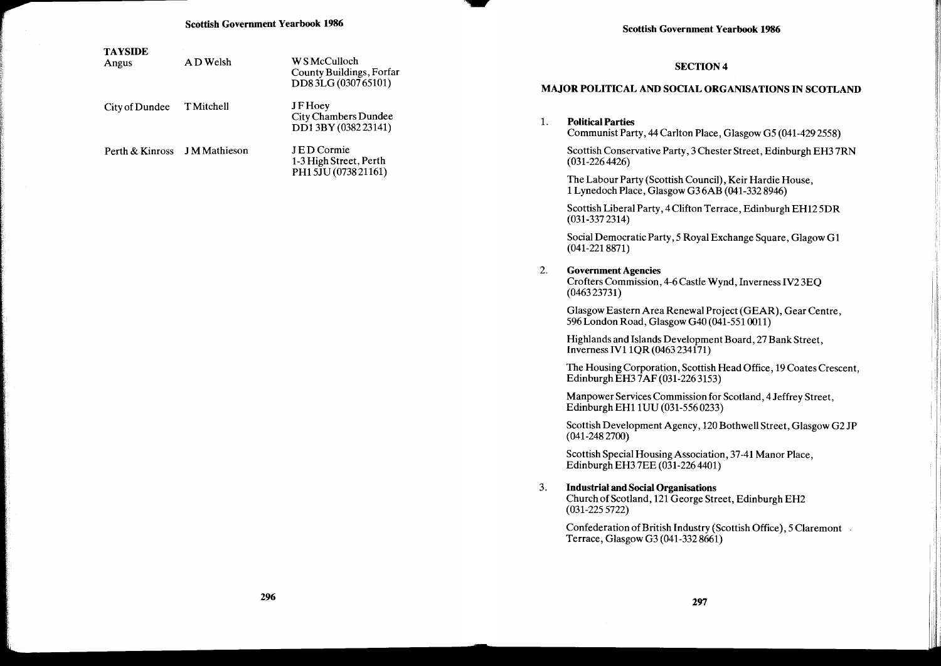| <b>TAYSIDE</b><br>Angus      | AD Welsh          | W S McCulloch<br>County Buildings, Forfar<br>DD83LG (030765101)    |    | <b>SECTION 4</b><br>MAJOR POLITICAL AND SOCIAL ORGANISATIONS IN SCOTLAND                                                |
|------------------------------|-------------------|--------------------------------------------------------------------|----|-------------------------------------------------------------------------------------------------------------------------|
| City of Dundee               | <b>T</b> Mitchell | <b>JFHoey</b><br><b>City Chambers Dundee</b><br>DD13BY (038223141) | 1. | <b>Political Parties</b><br>Communist Party, 44 Carlton Place, Glasgow G5 (041-429 2558)                                |
| Perth & Kinross JM Mathieson |                   | JED Cormie<br>1-3 High Street, Perth                               |    | Scottish Conservative Party, 3 Chester Street, Edinburgh EH3 7RN<br>$(031 - 2264426)$                                   |
|                              |                   | PH1 5JU (0738 21161)                                               |    | The Labour Party (Scottish Council), Keir Hardie House,<br>1 Lynedoch Place, Glasgow G36AB (041-332 8946)               |
|                              |                   |                                                                    |    | Scottish Liberal Party, 4 Clifton Terrace, Edinburgh EH125DR<br>$(031-3372314)$                                         |
|                              |                   |                                                                    |    | Social Democratic Party, 5 Royal Exchange Square, Glagow G1<br>$(041 - 2218871)$                                        |
|                              |                   |                                                                    | 2. | <b>Government Agencies</b><br>Crofters Commission, 4-6 Castle Wynd, Inverness IV2 3EQ<br>(046323731)                    |
|                              |                   |                                                                    |    | Glasgow Eastern Area Renewal Project (GEAR), Gear Centre,<br>596 London Road, Glasgow G40 (041-551 0011)                |
|                              |                   |                                                                    |    | Highlands and Islands Development Board, 27 Bank Street,<br>Inverness IV1 1QR (0463 234171)                             |
|                              |                   |                                                                    |    | The Housing Corporation, Scottish Head Office, 19 Coates Crescent,<br>Edinburgh EH3 7AF (031-226 3153)                  |
|                              |                   |                                                                    |    | Manpower Services Commission for Scotland, 4 Jeffrey Street,<br>Edinburgh EH1 1UU (031-556 0233)                        |
|                              |                   |                                                                    |    | Scottish Development Agency, 120 Bothwell Street, Glasgow G2 JP<br>$(041 - 2482700)$                                    |
|                              |                   |                                                                    |    | Scottish Special Housing Association, 37-41 Manor Place,<br>Edinburgh EH3 7EE (031-226 4401)                            |
|                              |                   |                                                                    | 3. | <b>Industrial and Social Organisations</b><br>Church of Scotland, 121 George Street, Edinburgh EH2<br>$(031 - 2255722)$ |
|                              |                   |                                                                    |    | Confederation of British Industry (Scottish Office), 5 Claremont<br>Terrace, Glasgow G3 (041-332 8661)                  |
|                              |                   |                                                                    |    |                                                                                                                         |